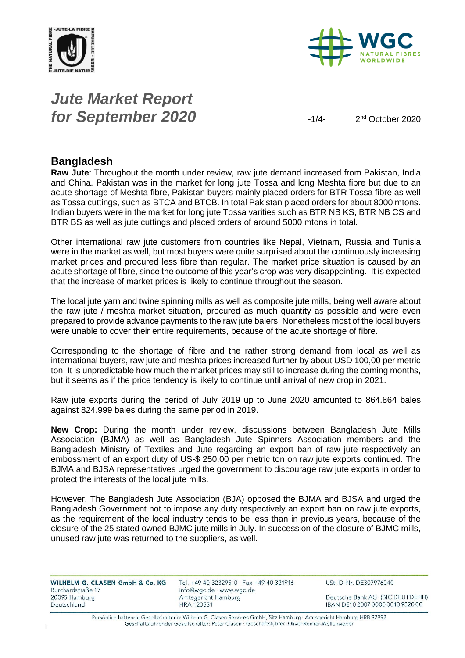



## *Jute Market Report for September 2020*  $-1/4$

2<sup>nd</sup> October 2020

#### **Bangladesh**

**Raw Jute**: Throughout the month under review, raw jute demand increased from Pakistan, India and China. Pakistan was in the market for long jute Tossa and long Meshta fibre but due to an acute shortage of Meshta fibre, Pakistan buyers mainly placed orders for BTR Tossa fibre as well as Tossa cuttings, such as BTCA and BTCB. In total Pakistan placed orders for about 8000 mtons. Indian buyers were in the market for long jute Tossa varities such as BTR NB KS, BTR NB CS and BTR BS as well as jute cuttings and placed orders of around 5000 mtons in total.

Other international raw jute customers from countries like Nepal, Vietnam, Russia and Tunisia were in the market as well, but most buyers were quite surprised about the continuously increasing market prices and procured less fibre than regular. The market price situation is caused by an acute shortage of fibre, since the outcome of this year's crop was very disappointing. It is expected that the increase of market prices is likely to continue throughout the season.

The local jute yarn and twine spinning mills as well as composite jute mills, being well aware about the raw jute / meshta market situation, procured as much quantity as possible and were even prepared to provide advance payments to the raw jute balers. Nonetheless most of the local buyers were unable to cover their entire requirements, because of the acute shortage of fibre.

Corresponding to the shortage of fibre and the rather strong demand from local as well as international buyers, raw jute and meshta prices increased further by about USD 100,00 per metric ton. It is unpredictable how much the market prices may still to increase during the coming months, but it seems as if the price tendency is likely to continue until arrival of new crop in 2021.

Raw jute exports during the period of July 2019 up to June 2020 amounted to 864.864 bales against 824.999 bales during the same period in 2019.

**New Crop:** During the month under review, discussions between Bangladesh Jute Mills Association (BJMA) as well as Bangladesh Jute Spinners Association members and the Bangladesh Ministry of Textiles and Jute regarding an export ban of raw jute respectively an embossment of an export duty of US-\$ 250,00 per metric ton on raw jute exports continued. The BJMA and BJSA representatives urged the government to discourage raw jute exports in order to protect the interests of the local jute mills.

However, The Bangladesh Jute Association (BJA) opposed the BJMA and BJSA and urged the Bangladesh Government not to impose any duty respectively an export ban on raw jute exports, as the requirement of the local industry tends to be less than in previous years, because of the closure of the 25 stated owned BJMC jute mills in July. In succession of the closure of BJMC mills, unused raw jute was returned to the suppliers, as well.

| WILHELM G. CLASEN GmbH & Co. KG | Tel. +49 40 323295-0 $\cdot$ Fax +49 40 321916 | USt-ID-Nr. DE307976040           |
|---------------------------------|------------------------------------------------|----------------------------------|
| Burchardstraße 17               | info@wgc.de · www.wgc.de                       |                                  |
| 20095 Hamburg                   | Amtsgericht Hamburg                            | Deutsche Bank AG (BIC DEUTDEHH)  |
| Deutschland                     | <b>HRA 120531</b>                              | IBAN DE10 2007 0000 0010 9520 00 |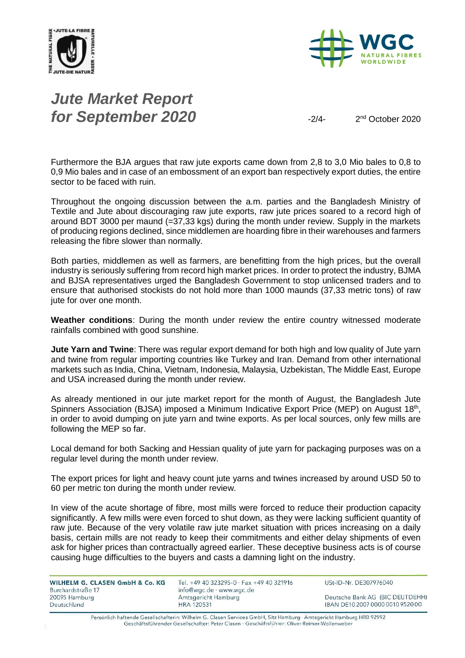



# *Jute Market Report for September 2020*

2<sup>nd</sup> October 2020

Furthermore the BJA argues that raw jute exports came down from 2,8 to 3,0 Mio bales to 0,8 to 0,9 Mio bales and in case of an embossment of an export ban respectively export duties, the entire sector to be faced with ruin.

Throughout the ongoing discussion between the a.m. parties and the Bangladesh Ministry of Textile and Jute about discouraging raw jute exports, raw jute prices soared to a record high of around BDT 3000 per maund (=37,33 kgs) during the month under review. Supply in the markets of producing regions declined, since middlemen are hoarding fibre in their warehouses and farmers releasing the fibre slower than normally.

Both parties, middlemen as well as farmers, are benefitting from the high prices, but the overall industry is seriously suffering from record high market prices. In order to protect the industry, BJMA and BJSA representatives urged the Bangladesh Government to stop unlicensed traders and to ensure that authorised stockists do not hold more than 1000 maunds (37,33 metric tons) of raw jute for over one month.

**Weather conditions**: During the month under review the entire country witnessed moderate rainfalls combined with good sunshine.

**Jute Yarn and Twine**: There was regular export demand for both high and low quality of Jute yarn and twine from regular importing countries like Turkey and Iran. Demand from other international markets such as India, China, Vietnam, Indonesia, Malaysia, Uzbekistan, The Middle East, Europe and USA increased during the month under review.

As already mentioned in our jute market report for the month of August, the Bangladesh Jute Spinners Association (BJSA) imposed a Minimum Indicative Export Price (MEP) on August 18<sup>th</sup>, in order to avoid dumping on jute yarn and twine exports. As per local sources, only few mills are following the MEP so far.

Local demand for both Sacking and Hessian quality of jute yarn for packaging purposes was on a regular level during the month under review.

The export prices for light and heavy count jute yarns and twines increased by around USD 50 to 60 per metric ton during the month under review.

In view of the acute shortage of fibre, most mills were forced to reduce their production capacity significantly. A few mills were even forced to shut down, as they were lacking sufficient quantity of raw jute. Because of the very volatile raw jute market situation with prices increasing on a daily basis, certain mills are not ready to keep their commitments and either delay shipments of even ask for higher prices than contractually agreed earlier. These deceptive business acts is of course causing huge difficulties to the buyers and casts a damning light on the industry.

| WILHELM G. CLASEN GmbH & Co. KG |  |
|---------------------------------|--|
| Burchardstraße 17               |  |
| 20095 Hamburg                   |  |
| Deutschland                     |  |

Tel. +49 40 323295-0 · Fax +49 40 321916 info@wgc.de · www.wgc.de Amtsgericht Hamburg **HRA 120531** 

USt-ID-Nr. DE307976040

Deutsche Bank AG (BIC DEUTDEHH) IBAN DE10 2007 0000 0010 9520 00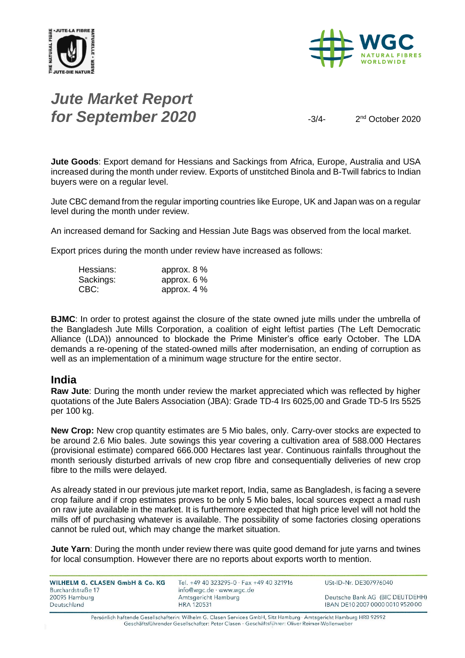



# *Jute Market Report for September 2020*  $\frac{3}{4}$

2<sup>nd</sup> October 2020

**Jute Goods**: Export demand for Hessians and Sackings from Africa, Europe, Australia and USA increased during the month under review. Exports of unstitched Binola and B-Twill fabrics to Indian buyers were on a regular level.

Jute CBC demand from the regular importing countries like Europe, UK and Japan was on a regular level during the month under review.

An increased demand for Sacking and Hessian Jute Bags was observed from the local market.

Export prices during the month under review have increased as follows:

| Hessians: | approx. $8\%$ |
|-----------|---------------|
| Sackings: | approx. $6\%$ |
| CBC:      | approx. $4\%$ |

**BJMC**: In order to protest against the closure of the state owned jute mills under the umbrella of the Bangladesh Jute Mills Corporation, a coalition of eight leftist parties (The Left Democratic Alliance (LDA)) announced to blockade the Prime Minister's office early October. The LDA demands a re-opening of the stated-owned mills after modernisation, an ending of corruption as well as an implementation of a minimum wage structure for the entire sector.

#### **India**

**Raw Jute**: During the month under review the market appreciated which was reflected by higher quotations of the Jute Balers Association (JBA): Grade TD-4 Irs 6025,00 and Grade TD-5 Irs 5525 per 100 kg.

**New Crop:** New crop quantity estimates are 5 Mio bales, only. Carry-over stocks are expected to be around 2.6 Mio bales. Jute sowings this year covering a cultivation area of 588.000 Hectares (provisional estimate) compared 666.000 Hectares last year. Continuous rainfalls throughout the month seriously disturbed arrivals of new crop fibre and consequentially deliveries of new crop fibre to the mills were delayed.

As already stated in our previous jute market report, India, same as Bangladesh, is facing a severe crop failure and if crop estimates proves to be only 5 Mio bales, local sources expect a mad rush on raw jute available in the market. It is furthermore expected that high price level will not hold the mills off of purchasing whatever is available. The possibility of some factories closing operations cannot be ruled out, which may change the market situation.

**Jute Yarn**: During the month under review there was quite good demand for jute yarns and twines for local consumption. However there are no reports about exports worth to mention.

| WILHELM G. CLASEN GmbH & Co. KG    | Tel. +49 40 323295-0 · Fax +49 40 321916        | USt-ID-Nr. DE307976040           |
|------------------------------------|-------------------------------------------------|----------------------------------|
| Burchardstraße 17<br>20095 Hamburg | info@wgc.de · www.wgc.de<br>Amtsgericht Hamburg | Deutsche Bank AG (BIC DEUTDEHH)  |
| Deutschland                        | <b>HRA 120531</b>                               | IBAN DE10 2007 0000 0010 9520 00 |